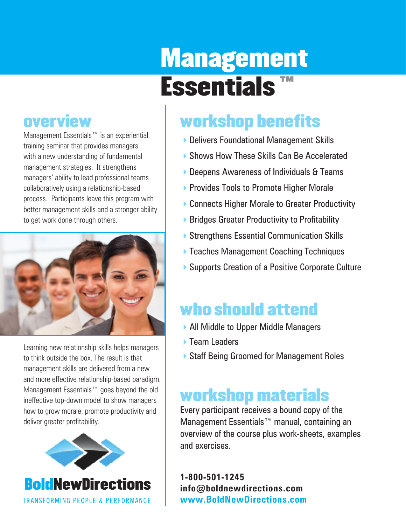# Management Essentials ™

### overview

Management Essentials™ is an experiential training seminar that provides managers with a new understanding of fundamental management strategies. It strengthens managers' ability to lead professional teams collaboratively using a relationship-based process. Participants leave this program with better management skills and a stronger ability to get work done through others.



Learning new relationship skills helps managers to think outside the box. The result is that management skills are delivered from a new and more effective relationship-based paradigm. Management Essentials™ goes beyond the old ineffective top-down model to show managers how to grow morale, promote productivity and deliver greater profitability.



## workshop benefits

- 4Delivers Foundational Management Skills
- **Shows How These Skills Can Be Accelerated**
- ▶ Deepens Awareness of Individuals & Teams
- **Provides Tools to Promote Higher Morale**
- ▶ Connects Higher Morale to Greater Productivity
- $\triangleright$  Bridges Greater Productivity to Profitability
- ▶ Strengthens Essential Communication Skills
- ▶ Teaches Management Coaching Techniques
- ▶ Supports Creation of a Positive Corporate Culture

## who should attend

- ▶ All Middle to Upper Middle Managers
- ▶ Team Leaders
- ▶ Staff Being Groomed for Management Roles

## workshop materials

Every participant receives a bound copy of the Management Essentials™ manual, containing an overview of the course plus work-sheets, examples and exercises.

**1-800-501-1245 info@boldnewdirections.com www.BoldNewDirections.com**